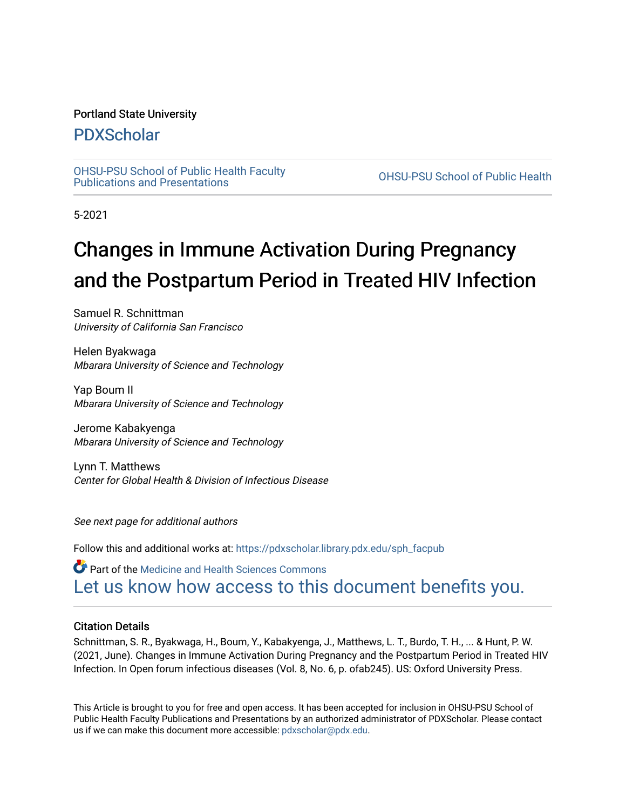## Portland State University

# [PDXScholar](https://pdxscholar.library.pdx.edu/)

[OHSU-PSU School of Public Health Faculty](https://pdxscholar.library.pdx.edu/sph_facpub) [Publications and Presentations](https://pdxscholar.library.pdx.edu/sph_facpub) [OHSU-PSU School of Public Health](https://pdxscholar.library.pdx.edu/sph) 

5-2021

# Changes in Immune Activation During Pregnancy and the Postpartum Period in Treated HIV Infection

Samuel R. Schnittman University of California San Francisco

Helen Byakwaga Mbarara University of Science and Technology

Yap Boum II Mbarara University of Science and Technology

Jerome Kabakyenga Mbarara University of Science and Technology

Lynn T. Matthews Center for Global Health & Division of Infectious Disease

See next page for additional authors

Follow this and additional works at: [https://pdxscholar.library.pdx.edu/sph\\_facpub](https://pdxscholar.library.pdx.edu/sph_facpub?utm_source=pdxscholar.library.pdx.edu%2Fsph_facpub%2F483&utm_medium=PDF&utm_campaign=PDFCoverPages) 

**Part of the Medicine and Health Sciences Commons** [Let us know how access to this document benefits you.](http://library.pdx.edu/services/pdxscholar-services/pdxscholar-feedback/?ref=https://pdxscholar.library.pdx.edu/sph_facpub/483) 

### Citation Details

Schnittman, S. R., Byakwaga, H., Boum, Y., Kabakyenga, J., Matthews, L. T., Burdo, T. H., ... & Hunt, P. W. (2021, June). Changes in Immune Activation During Pregnancy and the Postpartum Period in Treated HIV Infection. In Open forum infectious diseases (Vol. 8, No. 6, p. ofab245). US: Oxford University Press.

This Article is brought to you for free and open access. It has been accepted for inclusion in OHSU-PSU School of Public Health Faculty Publications and Presentations by an authorized administrator of PDXScholar. Please contact us if we can make this document more accessible: [pdxscholar@pdx.edu.](mailto:pdxscholar@pdx.edu)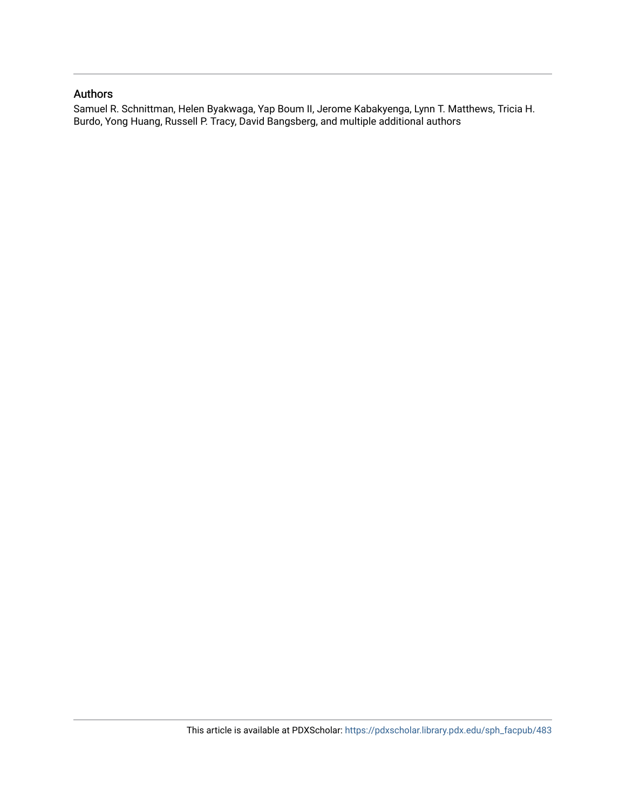## Authors

Samuel R. Schnittman, Helen Byakwaga, Yap Boum II, Jerome Kabakyenga, Lynn T. Matthews, Tricia H. Burdo, Yong Huang, Russell P. Tracy, David Bangsberg, and multiple additional authors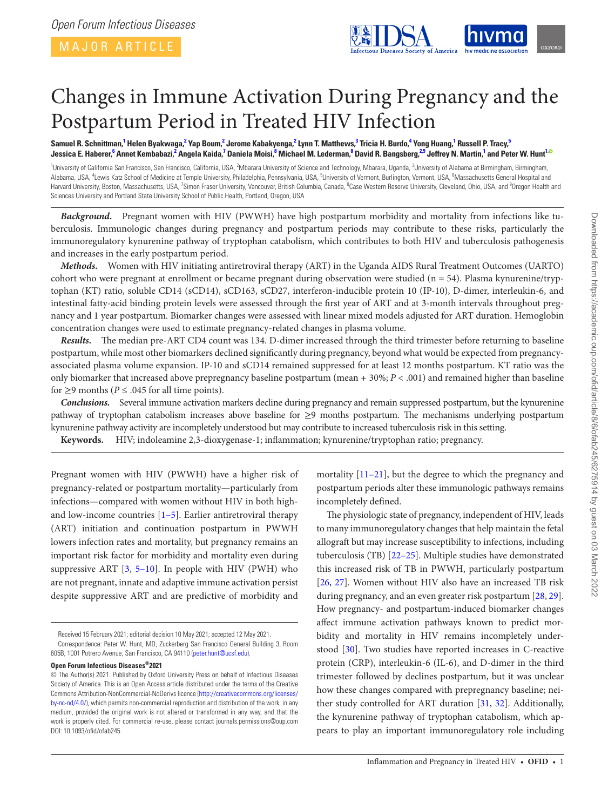<span id="page-2-8"></span><span id="page-2-7"></span><span id="page-2-5"></span><span id="page-2-2"></span>

# Changes in Immune Activation During Pregnancy and the Postpartum Period in Treated HIV Infection

Samuel R. Schnittman,<sup>[1](#page-2-0)</sup> Helen Byakwaga,<sup>[2](#page-2-1)</sup> Yap Boum,<sup>2</sup> Jerome Kabakyenga,<sup>2</sup> Lynn T. Matthews,<sup>[3](#page-2-2)</sup> Tricia H. Burdo,<sup>[4](#page-2-3)</sup> Yong Huang,<sup>1</sup> Russell P. Tracy,<sup>[5](#page-2-4)</sup> Jessica E. Haberer,<sup>[6](#page-2-5)</sup> Annet Kembabazi,<sup>[2](#page-2-1)</sup> Angela Kaida,<sup>[7](#page-2-6)</sup> Daniela Moisi,<sup>[8](#page-2-7)</sup> Michael M. Lederman,<sup>8</sup> David R. Bangsberg,<sup>[2,](#page-2-1)[9](#page-2-8)</sup> Jeffrey N. Martin,<sup>[1](#page-2-0)</sup> and Peter W. Hunt<sup>1[,](https://orcid.org/0000-0002-4571-4870)</sup>

<span id="page-2-6"></span><span id="page-2-4"></span><span id="page-2-3"></span><span id="page-2-1"></span><span id="page-2-0"></span><sup>1</sup>University of California San Francisco, San Francisco, California, USA, <sup>2</sup>Mbarara University of Science and Technology, Mbarara, Uganda, <sup>3</sup>University of Alabama at Birmingham, Birmingham, Alabama, USA, <sup>4</sup>Lewis Katz School of Medicine at Temple University, Philadelphia, Pennsylvania, USA, <sup>5</sup>University of Vermont, Burlington, Vermont, USA, <sup>6</sup>Massachusetts General Hospital and Harvard University, Boston, Massachusetts, USA, <sup>7</sup>Simon Fraser University, Vancouver, British Columbia, Canada, <sup>8</sup>Case Western Reserve University, Cleveland, Ohio, USA, and <sup>9</sup>Oregon Health and Sciences University and Portland State University School of Public Health, Portland, Oregon, USA

*Background.* Pregnant women with HIV (PWWH) have high postpartum morbidity and mortality from infections like tuberculosis. Immunologic changes during pregnancy and postpartum periods may contribute to these risks, particularly the immunoregulatory kynurenine pathway of tryptophan catabolism, which contributes to both HIV and tuberculosis pathogenesis and increases in the early postpartum period.

*Methods.* Women with HIV initiating antiretroviral therapy (ART) in the Uganda AIDS Rural Treatment Outcomes (UARTO) cohort who were pregnant at enrollment or became pregnant during observation were studied ( $n = 54$ ). Plasma kynurenine/tryptophan (KT) ratio, soluble CD14 (sCD14), sCD163, sCD27, interferon-inducible protein 10 (IP-10), D-dimer, interleukin-6, and intestinal fatty-acid binding protein levels were assessed through the first year of ART and at 3-month intervals throughout pregnancy and 1 year postpartum. Biomarker changes were assessed with linear mixed models adjusted for ART duration. Hemoglobin concentration changes were used to estimate pregnancy-related changes in plasma volume.

*Results.* The median pre-ART CD4 count was 134. D-dimer increased through the third trimester before returning to baseline postpartum, while most other biomarkers declined significantly during pregnancy, beyond what would be expected from pregnancyassociated plasma volume expansion. IP-10 and sCD14 remained suppressed for at least 12 months postpartum. KT ratio was the only biomarker that increased above prepregnancy baseline postpartum (mean + 30%; *P* < .001) and remained higher than baseline for  $\geq$ 9 months (*P*  $\leq$  .045 for all time points).

*Conclusions.* Several immune activation markers decline during pregnancy and remain suppressed postpartum, but the kynurenine pathway of tryptophan catabolism increases above baseline for ≥9 months postpartum. The mechanisms underlying postpartum kynurenine pathway activity are incompletely understood but may contribute to increased tuberculosis risk in this setting.

**Keywords.** HIV; indoleamine 2,3-dioxygenase-1; inflammation; kynurenine/tryptophan ratio; pregnancy.

Pregnant women with HIV (PWWH) have a higher risk of pregnancy-related or postpartum mortality—particularly from infections—compared with women without HIV in both highand low-income countries  $[1-5]$  $[1-5]$  $[1-5]$ . Earlier antiretroviral therapy (ART) initiation and continuation postpartum in PWWH lowers infection rates and mortality, but pregnancy remains an important risk factor for morbidity and mortality even during suppressive ART  $[3, 5-10]$  $[3, 5-10]$  $[3, 5-10]$  $[3, 5-10]$  $[3, 5-10]$ . In people with HIV (PWH) who are not pregnant, innate and adaptive immune activation persist despite suppressive ART and are predictive of morbidity and

Received 15 February 2021; editorial decision 10 May 2021; accepted 12 May 2021.

**Open Forum Infectious Diseases®2021**

mortality [\[11–](#page-8-4)[21\]](#page-9-0), but the degree to which the pregnancy and postpartum periods alter these immunologic pathways remains incompletely defined.

The physiologic state of pregnancy, independent of HIV, leads to many immunoregulatory changes that help maintain the fetal allograft but may increase susceptibility to infections, including tuberculosis (TB) [\[22](#page-9-1)[–25](#page-9-2)]. Multiple studies have demonstrated this increased risk of TB in PWWH, particularly postpartum [\[26](#page-9-3), [27\]](#page-9-4). Women without HIV also have an increased TB risk during pregnancy, and an even greater risk postpartum [\[28](#page-9-5), [29](#page-9-6)]. How pregnancy- and postpartum-induced biomarker changes affect immune activation pathways known to predict morbidity and mortality in HIV remains incompletely understood [[30\]](#page-9-7). Two studies have reported increases in C-reactive protein (CRP), interleukin-6 (IL-6), and D-dimer in the third trimester followed by declines postpartum, but it was unclear how these changes compared with prepregnancy baseline; neither study controlled for ART duration [\[31](#page-9-8), [32](#page-9-9)]. Additionally, the kynurenine pathway of tryptophan catabolism, which appears to play an important immunoregulatory role including

Correspondence: Peter W. Hunt, MD, Zuckerberg San Francisco General Building 3, Room 605B, 1001 Potrero Avenue, San Francisco, CA 94110 ([peter.hunt@ucsf.edu](mailto:peter.hunt@ucsf.edu?subject=)).

<sup>©</sup> The Author(s) 2021. Published by Oxford University Press on behalf of Infectious Diseases Society of America. This is an Open Access article distributed under the terms of the Creative Commons Attribution-NonCommercial-NoDerivs licence [\(http://creativecommons.org/licenses/](http://creativecommons.org/licenses/by-nc-nd/4.0/) [by-nc-nd/4.0/](http://creativecommons.org/licenses/by-nc-nd/4.0/)), which permits non-commercial reproduction and distribution of the work, in any medium, provided the original work is not altered or transformed in any way, and that the work is properly cited. For commercial re-use, please contact journals.permissions@oup.com DOI: 10.1093/ofid/ofab245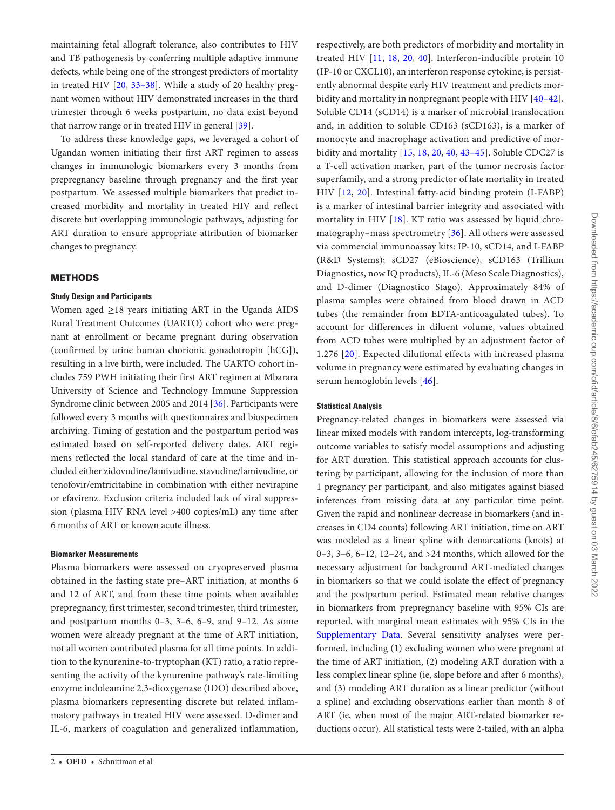maintaining fetal allograft tolerance, also contributes to HIV and TB pathogenesis by conferring multiple adaptive immune defects, while being one of the strongest predictors of mortality in treated HIV [\[20](#page-9-10), [33–](#page-9-11)[38\]](#page-9-12). While a study of 20 healthy pregnant women without HIV demonstrated increases in the third trimester through 6 weeks postpartum, no data exist beyond that narrow range or in treated HIV in general [\[39](#page-9-13)].

To address these knowledge gaps, we leveraged a cohort of Ugandan women initiating their first ART regimen to assess changes in immunologic biomarkers every 3 months from prepregnancy baseline through pregnancy and the first year postpartum. We assessed multiple biomarkers that predict increased morbidity and mortality in treated HIV and reflect discrete but overlapping immunologic pathways, adjusting for ART duration to ensure appropriate attribution of biomarker changes to pregnancy.

#### **METHODS**

#### **Study Design and Participants**

Women aged  $\geq$ 18 years initiating ART in the Uganda AIDS Rural Treatment Outcomes (UARTO) cohort who were pregnant at enrollment or became pregnant during observation (confirmed by urine human chorionic gonadotropin [hCG]), resulting in a live birth, were included. The UARTO cohort includes 759 PWH initiating their first ART regimen at Mbarara University of Science and Technology Immune Suppression Syndrome clinic between 2005 and 2014 [\[36](#page-9-14)]. Participants were followed every 3 months with questionnaires and biospecimen archiving. Timing of gestation and the postpartum period was estimated based on self-reported delivery dates. ART regimens reflected the local standard of care at the time and included either zidovudine/lamivudine, stavudine/lamivudine, or tenofovir/emtricitabine in combination with either nevirapine or efavirenz. Exclusion criteria included lack of viral suppression (plasma HIV RNA level >400 copies/mL) any time after 6 months of ART or known acute illness.

#### **Biomarker Measurements**

Plasma biomarkers were assessed on cryopreserved plasma obtained in the fasting state pre–ART initiation, at months 6 and 12 of ART, and from these time points when available: prepregnancy, first trimester, second trimester, third trimester, and postpartum months 0–3, 3–6, 6–9, and 9–12. As some women were already pregnant at the time of ART initiation, not all women contributed plasma for all time points. In addition to the kynurenine-to-tryptophan (KT) ratio, a ratio representing the activity of the kynurenine pathway's rate-limiting enzyme indoleamine 2,3-dioxygenase (IDO) described above, plasma biomarkers representing discrete but related inflammatory pathways in treated HIV were assessed. D-dimer and IL-6, markers of coagulation and generalized inflammation,

respectively, are both predictors of morbidity and mortality in treated HIV [[11](#page-8-4), [18,](#page-9-15) [20,](#page-9-10) [40](#page-9-16)]. Interferon-inducible protein 10 (IP-10 or CXCL10), an interferon response cytokine, is persistently abnormal despite early HIV treatment and predicts morbidity and mortality in nonpregnant people with HIV [[40](#page-9-16)–[42](#page-9-17)]. Soluble CD14 (sCD14) is a marker of microbial translocation and, in addition to soluble CD163 (sCD163), is a marker of monocyte and macrophage activation and predictive of morbidity and mortality [\[15,](#page-9-18) [18,](#page-9-15) [20](#page-9-10), [40](#page-9-16), [43](#page-9-19)[–45](#page-9-20)]. Soluble CDC27 is a T-cell activation marker, part of the tumor necrosis factor superfamily, and a strong predictor of late mortality in treated HIV [\[12,](#page-9-21) [20\]](#page-9-10). Intestinal fatty-acid binding protein (I-FABP) is a marker of intestinal barrier integrity and associated with mortality in HIV [[18\]](#page-9-15). KT ratio was assessed by liquid chromatography–mass spectrometry [[36](#page-9-14)]. All others were assessed via commercial immunoassay kits: IP-10, sCD14, and I-FABP (R&D Systems); sCD27 (eBioscience), sCD163 (Trillium Diagnostics, now IQ products), IL-6 (Meso Scale Diagnostics), and D-dimer (Diagnostico Stago). Approximately 84% of plasma samples were obtained from blood drawn in ACD tubes (the remainder from EDTA-anticoagulated tubes). To account for differences in diluent volume, values obtained from ACD tubes were multiplied by an adjustment factor of 1.276 [[20](#page-9-10)]. Expected dilutional effects with increased plasma volume in pregnancy were estimated by evaluating changes in serum hemoglobin levels [[46\]](#page-9-22).

#### **Statistical Analysis**

Pregnancy-related changes in biomarkers were assessed via linear mixed models with random intercepts, log-transforming outcome variables to satisfy model assumptions and adjusting for ART duration. This statistical approach accounts for clustering by participant, allowing for the inclusion of more than 1 pregnancy per participant, and also mitigates against biased inferences from missing data at any particular time point. Given the rapid and nonlinear decrease in biomarkers (and increases in CD4 counts) following ART initiation, time on ART was modeled as a linear spline with demarcations (knots) at 0–3, 3–6, 6–12, 12–24, and >24 months, which allowed for the necessary adjustment for background ART-mediated changes in biomarkers so that we could isolate the effect of pregnancy and the postpartum period. Estimated mean relative changes in biomarkers from prepregnancy baseline with 95% CIs are reported, with marginal mean estimates with 95% CIs in the [Supplementary Data.](http://academic.oup.com/ofid/article-lookup/doi/10.1093/ofid/ofab245#supplementary-data) Several sensitivity analyses were performed, including (1) excluding women who were pregnant at the time of ART initiation, (2) modeling ART duration with a less complex linear spline (ie, slope before and after 6 months), and (3) modeling ART duration as a linear predictor (without a spline) and excluding observations earlier than month 8 of ART (ie, when most of the major ART-related biomarker reductions occur). All statistical tests were 2-tailed, with an alpha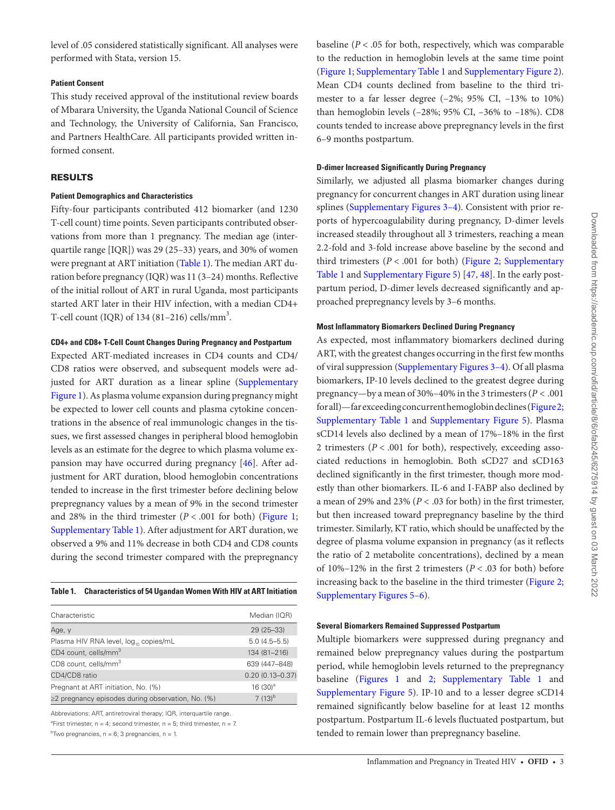level of .05 considered statistically significant. All analyses were performed with Stata, version 15.

#### **Patient Consent**

This study received approval of the institutional review boards of Mbarara University, the Uganda National Council of Science and Technology, the University of California, San Francisco, and Partners HealthCare. All participants provided written informed consent.

#### RESULTS

#### **Patient Demographics and Characteristics**

Fifty-four participants contributed 412 biomarker (and 1230 T-cell count) time points. Seven participants contributed observations from more than 1 pregnancy. The median age (interquartile range [IQR]) was 29 (25–33) years, and 30% of women were pregnant at ART initiation [\(Table 1](#page-4-0)). The median ART duration before pregnancy (IQR) was 11 (3–24) months. Reflective of the initial rollout of ART in rural Uganda, most participants started ART later in their HIV infection, with a median CD4+ T-cell count (IQR) of  $134(81-216)$  cells/mm<sup>3</sup>.

#### **CD4+ and CD8+ T-Cell Count Changes During Pregnancy and Postpartum**

Expected ART-mediated increases in CD4 counts and CD4/ CD8 ratios were observed, and subsequent models were ad-justed for ART duration as a linear spline [\(Supplementary](http://academic.oup.com/ofid/article-lookup/doi/10.1093/ofid/ofab245#supplementary-data) [Figure 1\)](http://academic.oup.com/ofid/article-lookup/doi/10.1093/ofid/ofab245#supplementary-data). As plasma volume expansion during pregnancy might be expected to lower cell counts and plasma cytokine concentrations in the absence of real immunologic changes in the tissues, we first assessed changes in peripheral blood hemoglobin levels as an estimate for the degree to which plasma volume expansion may have occurred during pregnancy [[46\]](#page-9-22). After adjustment for ART duration, blood hemoglobin concentrations tended to increase in the first trimester before declining below prepregnancy values by a mean of 9% in the second trimester and 28% in the third trimester  $(P < .001$  for both) [\(Figure 1;](#page-5-0) [Supplementary Table 1](http://academic.oup.com/ofid/article-lookup/doi/10.1093/ofid/ofab245#supplementary-data)). After adjustment for ART duration, we observed a 9% and 11% decrease in both CD4 and CD8 counts during the second trimester compared with the prepregnancy

<span id="page-4-0"></span>

| Characteristic                                          | Median (IQR)        |
|---------------------------------------------------------|---------------------|
| Age, y                                                  | $29(25-33)$         |
| Plasma HIV RNA level, log, copies/mL                    | $5.0(4.5 - 5.5)$    |
| CD4 count, cells/mm <sup>3</sup>                        | 134 (81-216)        |
| CD8 count, cells/mm <sup>3</sup>                        | 639 (447-848)       |
| CD4/CD8 ratio                                           | $0.20(0.13 - 0.37)$ |
| Pregnant at ART initiation, No. (%)                     | 16 $(30)^a$         |
| $\geq$ 2 pregnancy episodes during observation, No. (%) | $7(13)^{b}$         |

Abbreviations: ART, antiretroviral therapy; IQR, interquartile range.

<sup>a</sup>First trimester,  $n = 4$ ; second trimester,  $n = 5$ ; third trimester,  $n = 7$ .

 $b$ Two pregnancies, n = 6; 3 pregnancies, n = 1.

baseline (*P* < .05 for both, respectively, which was comparable to the reduction in hemoglobin levels at the same time point [\(Figure 1](#page-5-0); [Supplementary Table 1](http://academic.oup.com/ofid/article-lookup/doi/10.1093/ofid/ofab245#supplementary-data) and [Supplementary Figure 2](http://academic.oup.com/ofid/article-lookup/doi/10.1093/ofid/ofab245#supplementary-data)). Mean CD4 counts declined from baseline to the third trimester to a far lesser degree (–2%; 95% CI, –13% to 10%) than hemoglobin levels (–28%; 95% CI, –36% to –18%). CD8 counts tended to increase above prepregnancy levels in the first 6–9 months postpartum.

#### **D-dimer Increased Significantly During Pregnancy**

Similarly, we adjusted all plasma biomarker changes during pregnancy for concurrent changes in ART duration using linear splines ([Supplementary Figures 3–4](http://academic.oup.com/ofid/article-lookup/doi/10.1093/ofid/ofab245#supplementary-data)). Consistent with prior reports of hypercoagulability during pregnancy, D-dimer levels increased steadily throughout all 3 trimesters, reaching a mean 2.2-fold and 3-fold increase above baseline by the second and third trimesters  $(P < .001$  for both) [\(Figure 2;](#page-6-0) Supplementary [Table 1](http://academic.oup.com/ofid/article-lookup/doi/10.1093/ofid/ofab245#supplementary-data) and [Supplementary Figure 5\)](http://academic.oup.com/ofid/article-lookup/doi/10.1093/ofid/ofab245#supplementary-data) [[47,](#page-9-23) [48\]](#page-9-24). In the early postpartum period, D-dimer levels decreased significantly and approached prepregnancy levels by 3–6 months.

#### **Most Inflammatory Biomarkers Declined During Pregnancy**

As expected, most inflammatory biomarkers declined during ART, with the greatest changes occurring in the first few months of viral suppression ([Supplementary Figures 3–4\)](http://academic.oup.com/ofid/article-lookup/doi/10.1093/ofid/ofab245#supplementary-data). Of all plasma biomarkers, IP-10 levels declined to the greatest degree during pregnancy—by a mean of 30%–40% in the 3 trimesters (*P* < .001 for all)—far exceeding concurrent hemoglobin declines ([Figure 2;](#page-6-0) [Supplementary Table 1](http://academic.oup.com/ofid/article-lookup/doi/10.1093/ofid/ofab245#supplementary-data) and [Supplementary Figure 5\)](http://academic.oup.com/ofid/article-lookup/doi/10.1093/ofid/ofab245#supplementary-data). Plasma sCD14 levels also declined by a mean of 17%–18% in the first 2 trimesters (*P* < .001 for both), respectively, exceeding associated reductions in hemoglobin. Both sCD27 and sCD163 declined significantly in the first trimester, though more modestly than other biomarkers. IL-6 and I-FABP also declined by a mean of 29% and 23% (*P* < .03 for both) in the first trimester, but then increased toward prepregnancy baseline by the third trimester. Similarly, KT ratio, which should be unaffected by the degree of plasma volume expansion in pregnancy (as it reflects the ratio of 2 metabolite concentrations), declined by a mean of 10%–12% in the first 2 trimesters (*P* < .03 for both) before increasing back to the baseline in the third trimester [\(Figure 2;](#page-6-0) [Supplementary Figures 5–6\)](http://academic.oup.com/ofid/article-lookup/doi/10.1093/ofid/ofab245#supplementary-data).

#### **Several Biomarkers Remained Suppressed Postpartum**

Multiple biomarkers were suppressed during pregnancy and remained below prepregnancy values during the postpartum period, while hemoglobin levels returned to the prepregnancy baseline ([Figures 1](#page-5-0) and [2;](#page-6-0) [Supplementary Table 1](http://academic.oup.com/ofid/article-lookup/doi/10.1093/ofid/ofab245#supplementary-data) and [Supplementary Figure 5\)](http://academic.oup.com/ofid/article-lookup/doi/10.1093/ofid/ofab245#supplementary-data). IP-10 and to a lesser degree sCD14 remained significantly below baseline for at least 12 months postpartum. Postpartum IL-6 levels fluctuated postpartum, but tended to remain lower than prepregnancy baseline.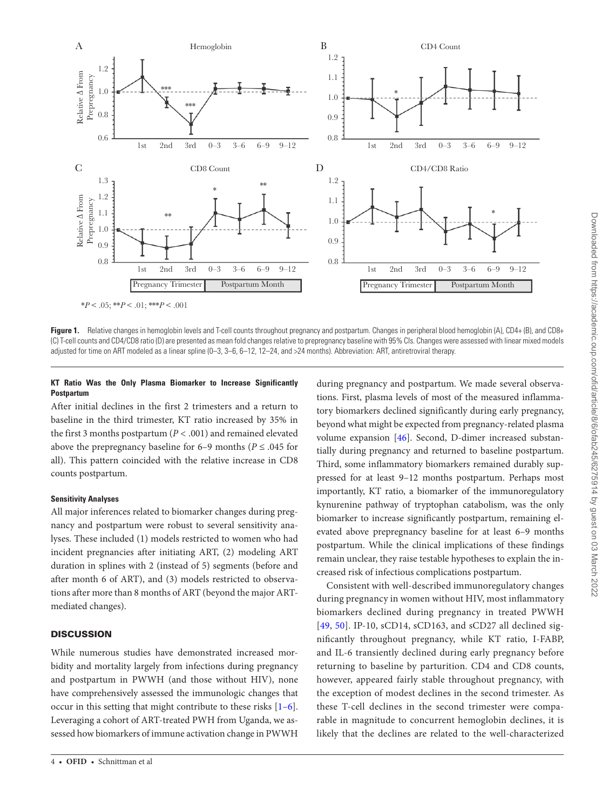

<span id="page-5-0"></span>**Figure 1.** Relative changes in hemoglobin levels and T-cell counts throughout pregnancy and postpartum. Changes in peripheral blood hemoglobin (A), CD4+ (B), and CD8+ (C) T-cell counts and CD4/CD8 ratio (D) are presented as mean fold changes relative to prepregnancy baseline with 95% CIs. Changes were assessed with linear mixed models adjusted for time on ART modeled as a linear spline (0–3, 3–6, 6–12, 12–24, and >24 months). Abbreviation: ART, antiretroviral therapy.

#### **KT Ratio Was the Only Plasma Biomarker to Increase Significantly Postpartum**

After initial declines in the first 2 trimesters and a return to baseline in the third trimester, KT ratio increased by 35% in the first 3 months postpartum (*P* < .001) and remained elevated above the prepregnancy baseline for 6–9 months ( $P \leq .045$  for all). This pattern coincided with the relative increase in CD8 counts postpartum.

#### **Sensitivity Analyses**

All major inferences related to biomarker changes during pregnancy and postpartum were robust to several sensitivity analyses. These included (1) models restricted to women who had incident pregnancies after initiating ART, (2) modeling ART duration in splines with 2 (instead of 5) segments (before and after month 6 of ART), and (3) models restricted to observations after more than 8 months of ART (beyond the major ARTmediated changes).

#### **DISCUSSION**

While numerous studies have demonstrated increased morbidity and mortality largely from infections during pregnancy and postpartum in PWWH (and those without HIV), none have comprehensively assessed the immunologic changes that occur in this setting that might contribute to these risks [\[1](#page-8-0)–[6\]](#page-8-5). Leveraging a cohort of ART-treated PWH from Uganda, we assessed how biomarkers of immune activation change in PWWH

during pregnancy and postpartum. We made several observations. First, plasma levels of most of the measured inflammatory biomarkers declined significantly during early pregnancy, beyond what might be expected from pregnancy-related plasma volume expansion [[46\]](#page-9-22). Second, D-dimer increased substantially during pregnancy and returned to baseline postpartum. Third, some inflammatory biomarkers remained durably suppressed for at least 9–12 months postpartum. Perhaps most importantly, KT ratio, a biomarker of the immunoregulatory kynurenine pathway of tryptophan catabolism, was the only biomarker to increase significantly postpartum, remaining elevated above prepregnancy baseline for at least 6–9 months postpartum. While the clinical implications of these findings remain unclear, they raise testable hypotheses to explain the increased risk of infectious complications postpartum.

Consistent with well-described immunoregulatory changes during pregnancy in women without HIV, most inflammatory biomarkers declined during pregnancy in treated PWWH [\[49,](#page-9-25) [50](#page-9-26)]. IP-10, sCD14, sCD163, and sCD27 all declined significantly throughout pregnancy, while KT ratio, I-FABP, and IL-6 transiently declined during early pregnancy before returning to baseline by parturition. CD4 and CD8 counts, however, appeared fairly stable throughout pregnancy, with the exception of modest declines in the second trimester. As these T-cell declines in the second trimester were comparable in magnitude to concurrent hemoglobin declines, it is likely that the declines are related to the well-characterized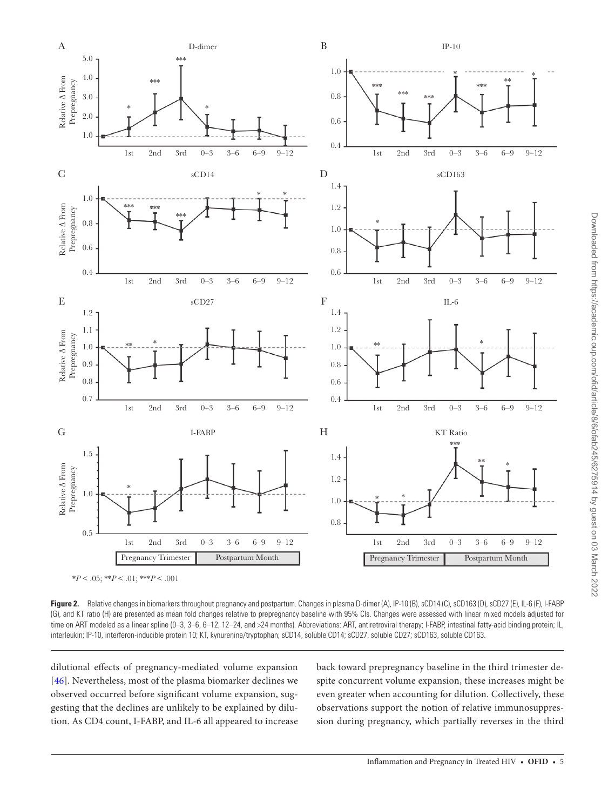

<span id="page-6-0"></span>Figure 2. Relative changes in biomarkers throughout pregnancy and postpartum. Changes in plasma D-dimer (A), IP-10 (B), sCD14 (C), sCD163 (D), sCD27 (E), IL-6 (F), I-FABP (G), and KT ratio (H) are presented as mean fold changes relative to prepregnancy baseline with 95% CIs. Changes were assessed with linear mixed models adjusted for time on ART modeled as a linear spline (0-3, 3-6, 6-12, 12-24, and >24 months). Abbreviations: ART, antiretroviral therapy; I-FABP, intestinal fatty-acid binding protein; IL, interleukin; IP-10, interferon-inducible protein 10; KT, kynurenine/tryptophan; sCD14, soluble CD14; sCD27, soluble CD27; sCD163, soluble CD163.

dilutional effects of pregnancy-mediated volume expansion [[46\]](#page-9-22). Nevertheless, most of the plasma biomarker declines we observed occurred before significant volume expansion, suggesting that the declines are unlikely to be explained by dilution. As CD4 count, I-FABP, and IL-6 all appeared to increase back toward prepregnancy baseline in the third trimester despite concurrent volume expansion, these increases might be even greater when accounting for dilution. Collectively, these observations support the notion of relative immunosuppression during pregnancy, which partially reverses in the third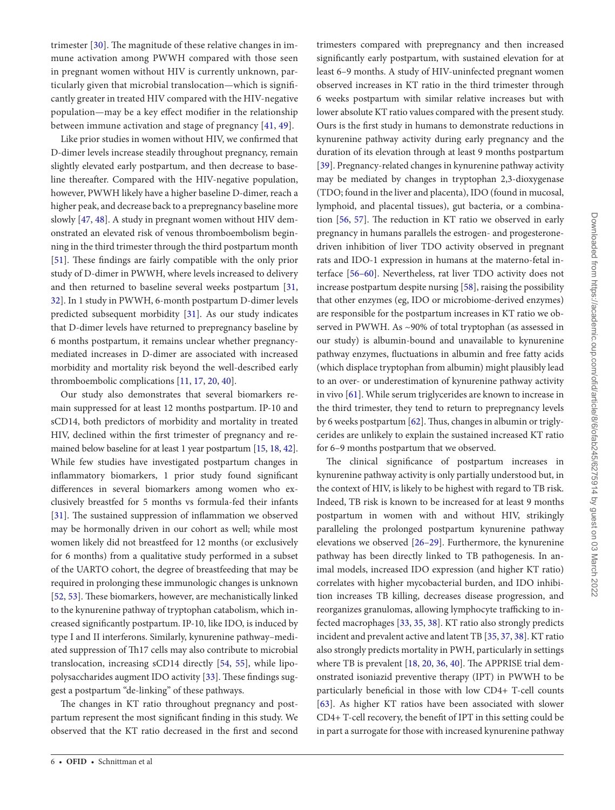trimester [\[30\]](#page-9-7). The magnitude of these relative changes in immune activation among PWWH compared with those seen in pregnant women without HIV is currently unknown, particularly given that microbial translocation—which is significantly greater in treated HIV compared with the HIV-negative population—may be a key effect modifier in the relationship between immune activation and stage of pregnancy [\[41,](#page-9-27) [49\]](#page-9-25).

Like prior studies in women without HIV, we confirmed that D-dimer levels increase steadily throughout pregnancy, remain slightly elevated early postpartum, and then decrease to baseline thereafter. Compared with the HIV-negative population, however, PWWH likely have a higher baseline D-dimer, reach a higher peak, and decrease back to a prepregnancy baseline more slowly [\[47,](#page-9-23) [48\]](#page-9-24). A study in pregnant women without HIV demonstrated an elevated risk of venous thromboembolism beginning in the third trimester through the third postpartum month [\[51](#page-9-28)]. These findings are fairly compatible with the only prior study of D-dimer in PWWH, where levels increased to delivery and then returned to baseline several weeks postpartum [[31,](#page-9-8) [32](#page-9-9)]. In 1 study in PWWH, 6-month postpartum D-dimer levels predicted subsequent morbidity [[31\]](#page-9-8). As our study indicates that D-dimer levels have returned to prepregnancy baseline by 6 months postpartum, it remains unclear whether pregnancymediated increases in D-dimer are associated with increased morbidity and mortality risk beyond the well-described early thromboembolic complications [[11,](#page-8-4) [17](#page-9-29), [20,](#page-9-10) [40](#page-9-16)].

Our study also demonstrates that several biomarkers remain suppressed for at least 12 months postpartum. IP-10 and sCD14, both predictors of morbidity and mortality in treated HIV, declined within the first trimester of pregnancy and remained below baseline for at least 1 year postpartum [[15,](#page-9-18) [18,](#page-9-15) [42\]](#page-9-17). While few studies have investigated postpartum changes in inflammatory biomarkers, 1 prior study found significant differences in several biomarkers among women who exclusively breastfed for 5 months vs formula-fed their infants [\[31](#page-9-8)]. The sustained suppression of inflammation we observed may be hormonally driven in our cohort as well; while most women likely did not breastfeed for 12 months (or exclusively for 6 months) from a qualitative study performed in a subset of the UARTO cohort, the degree of breastfeeding that may be required in prolonging these immunologic changes is unknown [\[52](#page-9-30), [53\]](#page-9-31). These biomarkers, however, are mechanistically linked to the kynurenine pathway of tryptophan catabolism, which increased significantly postpartum. IP-10, like IDO, is induced by type I and II interferons. Similarly, kynurenine pathway–mediated suppression of Th17 cells may also contribute to microbial translocation, increasing sCD14 directly [[54,](#page-9-32) [55\]](#page-9-33), while lipopolysaccharides augment IDO activity [[33\]](#page-9-11). These findings suggest a postpartum "de-linking" of these pathways.

The changes in KT ratio throughout pregnancy and postpartum represent the most significant finding in this study. We observed that the KT ratio decreased in the first and second trimesters compared with prepregnancy and then increased significantly early postpartum, with sustained elevation for at least 6–9 months. A study of HIV-uninfected pregnant women observed increases in KT ratio in the third trimester through 6 weeks postpartum with similar relative increases but with lower absolute KT ratio values compared with the present study. Ours is the first study in humans to demonstrate reductions in kynurenine pathway activity during early pregnancy and the duration of its elevation through at least 9 months postpartum [\[39](#page-9-13)]. Pregnancy-related changes in kynurenine pathway activity may be mediated by changes in tryptophan 2,3-dioxygenase (TDO; found in the liver and placenta), IDO (found in mucosal, lymphoid, and placental tissues), gut bacteria, or a combination [[56,](#page-9-34) [57](#page-9-35)]. The reduction in KT ratio we observed in early pregnancy in humans parallels the estrogen- and progesteronedriven inhibition of liver TDO activity observed in pregnant rats and IDO-1 expression in humans at the materno-fetal interface [[56](#page-9-34)[–60](#page-9-36)]. Nevertheless, rat liver TDO activity does not increase postpartum despite nursing [\[58](#page-9-37)], raising the possibility that other enzymes (eg, IDO or microbiome-derived enzymes) are responsible for the postpartum increases in KT ratio we observed in PWWH. As ~90% of total tryptophan (as assessed in our study) is albumin-bound and unavailable to kynurenine pathway enzymes, fluctuations in albumin and free fatty acids (which displace tryptophan from albumin) might plausibly lead to an over- or underestimation of kynurenine pathway activity in vivo [[61\]](#page-9-38). While serum triglycerides are known to increase in the third trimester, they tend to return to prepregnancy levels by 6 weeks postpartum [\[62](#page-9-39)]. Thus, changes in albumin or triglycerides are unlikely to explain the sustained increased KT ratio for 6–9 months postpartum that we observed.

The clinical significance of postpartum increases in kynurenine pathway activity is only partially understood but, in the context of HIV, is likely to be highest with regard to TB risk. Indeed, TB risk is known to be increased for at least 9 months postpartum in women with and without HIV, strikingly paralleling the prolonged postpartum kynurenine pathway elevations we observed [[26–](#page-9-3)[29\]](#page-9-6). Furthermore, the kynurenine pathway has been directly linked to TB pathogenesis. In animal models, increased IDO expression (and higher KT ratio) correlates with higher mycobacterial burden, and IDO inhibition increases TB killing, decreases disease progression, and reorganizes granulomas, allowing lymphocyte trafficking to infected macrophages [\[33,](#page-9-11) [35](#page-9-40), [38](#page-9-12)]. KT ratio also strongly predicts incident and prevalent active and latent TB [[35](#page-9-40), [37](#page-9-41), [38\]](#page-9-12). KT ratio also strongly predicts mortality in PWH, particularly in settings where TB is prevalent [\[18](#page-9-15), [20,](#page-9-10) [36,](#page-9-14) [40](#page-9-16)]. The APPRISE trial demonstrated isoniazid preventive therapy (IPT) in PWWH to be particularly beneficial in those with low CD4+ T-cell counts [\[63](#page-9-42)]. As higher KT ratios have been associated with slower CD4+ T-cell recovery, the benefit of IPT in this setting could be in part a surrogate for those with increased kynurenine pathway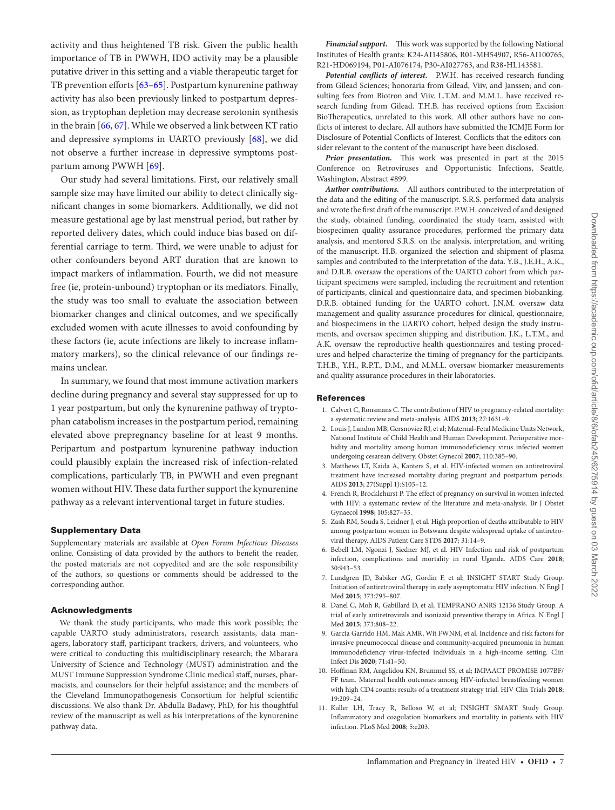activity and thus heightened TB risk. Given the public health importance of TB in PWWH, IDO activity may be a plausible putative driver in this setting and a viable therapeutic target for TB prevention efforts [\[63](#page-9-42)[–65\]](#page-9-43). Postpartum kynurenine pathway activity has also been previously linked to postpartum depression, as tryptophan depletion may decrease serotonin synthesis in the brain [\[66,](#page-10-0) [67\]](#page-10-1). While we observed a link between KT ratio and depressive symptoms in UARTO previously [[68\]](#page-10-2), we did not observe a further increase in depressive symptoms postpartum among PWWH [\[69\]](#page-10-3).

Our study had several limitations. First, our relatively small sample size may have limited our ability to detect clinically significant changes in some biomarkers. Additionally, we did not measure gestational age by last menstrual period, but rather by reported delivery dates, which could induce bias based on differential carriage to term. Third, we were unable to adjust for other confounders beyond ART duration that are known to impact markers of inflammation. Fourth, we did not measure free (ie, protein-unbound) tryptophan or its mediators. Finally, the study was too small to evaluate the association between biomarker changes and clinical outcomes, and we specifically excluded women with acute illnesses to avoid confounding by these factors (ie, acute infections are likely to increase inflammatory markers), so the clinical relevance of our findings remains unclear.

In summary, we found that most immune activation markers decline during pregnancy and several stay suppressed for up to 1 year postpartum, but only the kynurenine pathway of tryptophan catabolism increases in the postpartum period, remaining elevated above prepregnancy baseline for at least 9 months. Peripartum and postpartum kynurenine pathway induction could plausibly explain the increased risk of infection-related complications, particularly TB, in PWWH and even pregnant women without HIV. These data further support the kynurenine pathway as a relevant interventional target in future studies.

#### Supplementary Data

Supplementary materials are available at *Open Forum Infectious Diseases* online. Consisting of data provided by the authors to benefit the reader, the posted materials are not copyedited and are the sole responsibility of the authors, so questions or comments should be addressed to the corresponding author.

#### Acknowledgments

We thank the study participants, who made this work possible; the capable UARTO study administrators, research assistants, data managers, laboratory staff, participant trackers, drivers, and volunteers, who were critical to conducting this multidisciplinary research; the Mbarara University of Science and Technology (MUST) administration and the MUST Immune Suppression Syndrome Clinic medical staff, nurses, pharmacists, and counselors for their helpful assistance; and the members of the Cleveland Immunopathogenesis Consortium for helpful scientific discussions. We also thank Dr. Abdulla Badawy, PhD, for his thoughtful review of the manuscript as well as his interpretations of the kynurenine pathway data.

*Financial support.* This work was supported by the following National Institutes of Health grants: K24-AI145806, R01-MH54907, R56-AI100765, R21-HD069194, P01-AI076174, P30-AI027763, and R38-HL143581.

*Potential conflicts of interest.* P.W.H. has received research funding from Gilead Sciences; honoraria from Gilead, Viiv, and Janssen; and consulting fees from Biotron and Viiv. L.T.M. and M.M.L. have received research funding from Gilead. T.H.B. has received options from Excision BioTherapeutics, unrelated to this work. All other authors have no conflicts of interest to declare. All authors have submitted the ICMJE Form for Disclosure of Potential Conflicts of Interest. Conflicts that the editors consider relevant to the content of the manuscript have been disclosed.

*Prior presentation.* This work was presented in part at the 2015 Conference on Retroviruses and Opportunistic Infections, Seattle, Washington, Abstract #899.

*Author contributions.* All authors contributed to the interpretation of the data and the editing of the manuscript. S.R.S. performed data analysis and wrote the first draft of the manuscript. P.W.H. conceived of and designed the study, obtained funding, coordinated the study team, assisted with biospecimen quality assurance procedures, performed the primary data analysis, and mentored S.R.S. on the analysis, interpretation, and writing of the manuscript. H.B. organized the selection and shipment of plasma samples and contributed to the interpretation of the data. Y.B., J.E.H., A.K., and D.R.B. oversaw the operations of the UARTO cohort from which participant specimens were sampled, including the recruitment and retention of participants, clinical and questionnaire data, and specimen biobanking. D.R.B. obtained funding for the UARTO cohort. J.N.M. oversaw data management and quality assurance procedures for clinical, questionnaire, and biospecimens in the UARTO cohort, helped design the study instruments, and oversaw specimen shipping and distribution. J.K., L.T.M., and A.K. oversaw the reproductive health questionnaires and testing procedures and helped characterize the timing of pregnancy for the participants. T.H.B., Y.H., R.P.T., D.M., and M.M.L. oversaw biomarker measurements and quality assurance procedures in their laboratories.

#### **References**

- <span id="page-8-0"></span>1. Calvert C, Ronsmans C. The contribution of HIV to pregnancy-related mortality: a systematic review and meta-analysis. AIDS **2013**; 27:1631–9.
- 2. Louis J, Landon MB, Gersnoviez RJ, et al; Maternal-Fetal Medicine Units Network, National Institute of Child Health and Human Development. Perioperative morbidity and mortality among human immunodeficiency virus infected women undergoing cesarean delivery. Obstet Gynecol **2007**; 110:385–90.
- <span id="page-8-2"></span>3. Matthews LT, Kaida A, Kanters S, et al. HIV-infected women on antiretroviral treatment have increased mortality during pregnant and postpartum periods. AIDS **2013**; 27(Suppl 1):S105–12.
- 4. French R, Brocklehurst P. The effect of pregnancy on survival in women infected with HIV: a systematic review of the literature and meta-analysis. Br J Obstet Gynaecol **1998**; 105:827–35.
- <span id="page-8-1"></span>5. Zash RM, Souda S, Leidner J, et al. High proportion of deaths attributable to HIV among postpartum women in Botswana despite widespread uptake of antiretroviral therapy. AIDS Patient Care STDS **2017**; 31:14–9.
- <span id="page-8-5"></span>6. Bebell LM, Ngonzi J, Siedner MJ, et al. HIV Infection and risk of postpartum infection, complications and mortality in rural Uganda. AIDS Care **2018**; 30:943–53.
- 7. Lundgren JD, Babiker AG, Gordin F, et al; INSIGHT START Study Group. Initiation of antiretroviral therapy in early asymptomatic HIV infection. N Engl J Med **2015**; 373:795–807.
- 8. Danel C, Moh R, Gabillard D, et al; TEMPRANO ANRS 12136 Study Group. A trial of early antiretrovirals and isoniazid preventive therapy in Africa. N Engl J Med **2015**; 373:808–22.
- 9. Garcia Garrido HM, Mak AMR, Wit FWNM, et al. Incidence and risk factors for invasive pneumococcal disease and community-acquired pneumonia in human immunodeficiency virus-infected individuals in a high-income setting. Clin Infect Dis **2020**; 71:41–50.
- <span id="page-8-3"></span>10. Hoffman RM, Angelidou KN, Brummel SS, et al; IMPAACT PROMISE 1077BF/ FF team. Maternal health outcomes among HIV-infected breastfeeding women with high CD4 counts: results of a treatment strategy trial. HIV Clin Trials **2018**; 19:209–24.
- <span id="page-8-4"></span>11. Kuller LH, Tracy R, Belloso W, et al; INSIGHT SMART Study Group. Inflammatory and coagulation biomarkers and mortality in patients with HIV infection. PLoS Med **2008**; 5:e203.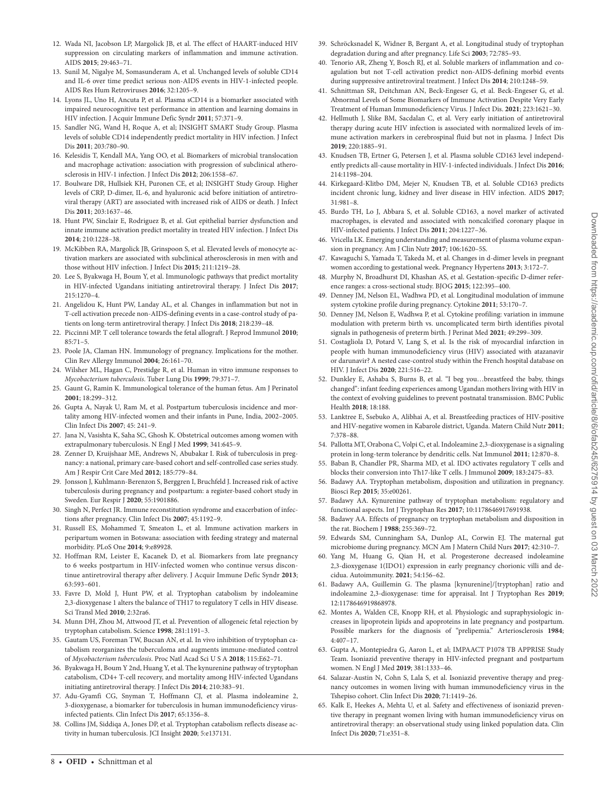- <span id="page-9-21"></span>12. Wada NI, Jacobson LP, Margolick JB, et al. The effect of HAART-induced HIV suppression on circulating markers of inflammation and immune activation. AIDS **2015**; 29:463–71.
- 13. Sunil M, Nigalye M, Somasunderam A, et al. Unchanged levels of soluble CD14 and IL-6 over time predict serious non-AIDS events in HIV-1-infected people. AIDS Res Hum Retroviruses **2016**; 32:1205–9.
- 14. Lyons JL, Uno H, Ancuta P, et al. Plasma sCD14 is a biomarker associated with impaired neurocognitive test performance in attention and learning domains in HIV infection. J Acquir Immune Defic Syndr **2011**; 57:371–9.
- <span id="page-9-18"></span>15. Sandler NG, Wand H, Roque A, et al; INSIGHT SMART Study Group. Plasma levels of soluble CD14 independently predict mortality in HIV infection. J Infect Dis **2011**; 203:780–90.
- 16. Kelesidis T, Kendall MA, Yang OO, et al. Biomarkers of microbial translocation and macrophage activation: association with progression of subclinical atherosclerosis in HIV-1 infection. J Infect Dis **2012**; 206:1558–67.
- <span id="page-9-29"></span>17. Boulware DR, Hullsiek KH, Puronen CE, et al; INSIGHT Study Group. Higher levels of CRP, D-dimer, IL-6, and hyaluronic acid before initiation of antiretroviral therapy (ART) are associated with increased risk of AIDS or death. J Infect Dis **2011**; 203:1637–46.
- <span id="page-9-15"></span>18. Hunt PW, Sinclair E, Rodriguez B, et al. Gut epithelial barrier dysfunction and innate immune activation predict mortality in treated HIV infection. J Infect Dis **2014**; 210:1228–38.
- 19. McKibben RA, Margolick JB, Grinspoon S, et al. Elevated levels of monocyte activation markers are associated with subclinical atherosclerosis in men with and those without HIV infection. J Infect Dis **2015**; 211:1219–28.
- <span id="page-9-10"></span>20. Lee S, Byakwaga H, Boum Y, et al. Immunologic pathways that predict mortality in HIV-infected Ugandans initiating antiretroviral therapy. J Infect Dis **2017**; 215:1270–4.
- <span id="page-9-0"></span>21. Angelidou K, Hunt PW, Landay AL, et al. Changes in inflammation but not in T-cell activation precede non-AIDS-defining events in a case-control study of patients on long-term antiretroviral therapy. J Infect Dis **2018**; 218:239–48.
- <span id="page-9-1"></span>22. Piccinni MP. T cell tolerance towards the fetal allograft. J Reprod Immunol **2010**; 85:71–5.
- 23. Poole JA, Claman HN. Immunology of pregnancy. Implications for the mother. Clin Rev Allergy Immunol **2004**; 26:161–70.
- 24. Wilsher ML, Hagan C, Prestidge R, et al. Human in vitro immune responses to *Mycobacterium tuberculosis*. Tuber Lung Dis **1999**; 79:371–7.
- <span id="page-9-2"></span>25. Gaunt G, Ramin K. Immunological tolerance of the human fetus. Am J Perinatol **2001**; 18:299–312.
- <span id="page-9-3"></span>26. Gupta A, Nayak U, Ram M, et al. Postpartum tuberculosis incidence and mortality among HIV-infected women and their infants in Pune, India, 2002–2005. Clin Infect Dis **2007**; 45: 241–9.
- <span id="page-9-4"></span>27. Jana N, Vasishta K, Saha SC, Ghosh K. Obstetrical outcomes among women with extrapulmonary tuberculosis. N Engl J Med **1999**; 341:645–9.
- <span id="page-9-5"></span>28. Zenner D, Kruijshaar ME, Andrews N, Abubakar I. Risk of tuberculosis in pregnancy: a national, primary care-based cohort and self-controlled case series study. Am J Respir Crit Care Med **2012**; 185:779–84.
- <span id="page-9-6"></span>29. Jonsson J, Kuhlmann-Berenzon S, Berggren I, Bruchfeld J. Increased risk of active tuberculosis during pregnancy and postpartum: a register-based cohort study in Sweden. Eur Respir J **2020**; 55:1901886.
- <span id="page-9-7"></span>30. Singh N, Perfect JR. Immune reconstitution syndrome and exacerbation of infections after pregnancy. Clin Infect Dis **2007**; 45:1192–9.
- <span id="page-9-8"></span>31. Russell ES, Mohammed T, Smeaton L, et al. Immune activation markers in peripartum women in Botswana: association with feeding strategy and maternal morbidity. PLoS One **2014**; 9:e89928.
- <span id="page-9-9"></span>32. Hoffman RM, Leister E, Kacanek D, et al. Biomarkers from late pregnancy to 6 weeks postpartum in HIV-infected women who continue versus discontinue antiretroviral therapy after delivery. J Acquir Immune Defic Syndr **2013**; 63:593–601.
- <span id="page-9-11"></span>33. Favre D, Mold J, Hunt PW, et al. Tryptophan catabolism by indoleamine 2,3-dioxygenase 1 alters the balance of TH17 to regulatory T cells in HIV disease. Sci Transl Med **2010**; 2:32ra6.
- 34. Munn DH, Zhou M, Attwood JT, et al. Prevention of allogeneic fetal rejection by tryptophan catabolism. Science **1998**; 281:1191–3.
- <span id="page-9-40"></span>35. Gautam US, Foreman TW, Bucsan AN, et al. In vivo inhibition of tryptophan catabolism reorganizes the tuberculoma and augments immune-mediated control of *Mycobacterium tuberculosis*. Proc Natl Acad Sci U S A **2018**; 115:E62–71.
- <span id="page-9-14"></span>36. Byakwaga H, Boum Y 2nd, Huang Y, et al. The kynurenine pathway of tryptophan catabolism, CD4+ T-cell recovery, and mortality among HIV-infected Ugandans initiating antiretroviral therapy. J Infect Dis **2014**; 210:383–91.
- <span id="page-9-41"></span>37. Adu-Gyamfi CG, Snyman T, Hoffmann CJ, et al. Plasma indoleamine 2, 3-dioxygenase, a biomarker for tuberculosis in human immunodeficiency virusinfected patients. Clin Infect Dis **2017**; 65:1356–8.
- <span id="page-9-12"></span>38. Collins JM, Siddiqa A, Jones DP, et al. Tryptophan catabolism reflects disease activity in human tuberculosis. JCI Insight **2020**; 5:e137131.
- <span id="page-9-13"></span>39. Schröcksnadel K, Widner B, Bergant A, et al. Longitudinal study of tryptophan degradation during and after pregnancy. Life Sci **2003**; 72:785–93.
- <span id="page-9-16"></span>40. Tenorio AR, Zheng Y, Bosch RJ, et al. Soluble markers of inflammation and coagulation but not T-cell activation predict non-AIDS-defining morbid events during suppressive antiretroviral treatment. J Infect Dis **2014**; 210:1248–59.
- <span id="page-9-27"></span>41. Schnittman SR, Deitchman AN, Beck-Engeser G, et al. Beck-Engeser G, et al. Abnormal Levels of Some Biomarkers of Immune Activation Despite Very Early Treatment of Human Immunodeficiency Virus. J Infect Dis. **2021**; 223:1621–30.
- <span id="page-9-17"></span>42. Hellmuth J, Slike BM, Sacdalan C, et al. Very early initiation of antiretroviral therapy during acute HIV infection is associated with normalized levels of immune activation markers in cerebrospinal fluid but not in plasma. J Infect Dis **2019**; 220:1885–91.
- <span id="page-9-19"></span>43. Knudsen TB, Ertner G, Petersen J, et al. Plasma soluble CD163 level independently predicts all-cause mortality in HIV-1-infected individuals. J Infect Dis **2016**; 214:1198–204.
- 44. Kirkegaard-Klitbo DM, Mejer N, Knudsen TB, et al. Soluble CD163 predicts incident chronic lung, kidney and liver disease in HIV infection. AIDS **2017**; 31:981–8.
- <span id="page-9-20"></span>45. Burdo TH, Lo J, Abbara S, et al. Soluble CD163, a novel marker of activated macrophages, is elevated and associated with noncalcified coronary plaque in HIV-infected patients. J Infect Dis **2011**; 204:1227–36.
- <span id="page-9-22"></span>46. Vricella LK. Emerging understanding and measurement of plasma volume expansion in pregnancy. Am J Clin Nutr **2017**; 106:1620–5S.
- <span id="page-9-23"></span>47. Kawaguchi S, Yamada T, Takeda M, et al. Changes in d-dimer levels in pregnant women according to gestational week. Pregnancy Hypertens **2013**; 3:172–7.
- <span id="page-9-24"></span>48. Murphy N, Broadhurst DI, Khashan AS, et al. Gestation-specific D-dimer reference ranges: a cross-sectional study. BJOG **2015**; 122:395–400.
- <span id="page-9-25"></span>49. Denney JM, Nelson EL, Wadhwa PD, et al. Longitudinal modulation of immune system cytokine profile during pregnancy. Cytokine **2011**; 53:170–7.
- <span id="page-9-26"></span>50. Denney JM, Nelson E, Wadhwa P, et al. Cytokine profiling: variation in immune modulation with preterm birth vs. uncomplicated term birth identifies pivotal signals in pathogenesis of preterm birth. J Perinat Med **2021**; 49:299–309.
- <span id="page-9-28"></span>51. Costagliola D, Potard V, Lang S, et al. Is the risk of myocardial infarction in people with human immunodeficiency virus (HIV) associated with atazanavir or darunavir? A nested case-control study within the French hospital database on HIV. J Infect Dis **2020**; 221:516–22.
- <span id="page-9-30"></span>52. Dunkley E, Ashaba S, Burns B, et al. "I beg you…breastfeed the baby, things changed": infant feeding experiences among Ugandan mothers living with HIV in the context of evolving guidelines to prevent postnatal transmission. BMC Public Health **2018**; 18:188.
- <span id="page-9-31"></span>53. Lanktree E, Ssebuko A, Alibhai A, et al. Breastfeeding practices of HIV-positive and HIV-negative women in Kabarole district, Uganda. Matern Child Nutr **2011**; 7:378–88.
- <span id="page-9-32"></span>54. Pallotta MT, Orabona C, Volpi C, et al. Indoleamine 2,3-dioxygenase is a signaling protein in long-term tolerance by dendritic cells. Nat Immunol **2011**; 12:870–8.
- <span id="page-9-33"></span>55. Baban B, Chandler PR, Sharma MD, et al. IDO activates regulatory T cells and blocks their conversion into Th17-like T cells. J Immunol **2009**; 183:2475–83.
- <span id="page-9-34"></span>56. Badawy AA. Tryptophan metabolism, disposition and utilization in pregnancy. Biosci Rep **2015**; 35:e00261.
- <span id="page-9-35"></span>57. Badawy AA. Kynurenine pathway of tryptophan metabolism: regulatory and functional aspects. Int J Tryptophan Res **2017**; 10:1178646917691938.
- <span id="page-9-37"></span>58. Badawy AA. Effects of pregnancy on tryptophan metabolism and disposition in the rat. Biochem J **1988**; 255:369–72.
- 59. Edwards SM, Cunningham SA, Dunlop AL, Corwin EJ. The maternal gut microbiome during pregnancy. MCN Am J Matern Child Nurs **2017**; 42:310–7.
- <span id="page-9-36"></span>60. Yang M, Huang G, Qian H, et al. Progesterone decreased indoleamine 2,3-dioxygenase 1(IDO1) expression in early pregnancy chorionic villi and decidua. Autoimmunity. **2021**; 54:156–62.
- <span id="page-9-38"></span>61. Badawy AA, Guillemin G. The plasma [kynurenine]/[tryptophan] ratio and indoleamine 2,3-dioxygenase: time for appraisal. Int J Tryptophan Res **2019**; 12:1178646919868978.
- <span id="page-9-39"></span>62. Montes A, Walden CE, Knopp RH, et al. Physiologic and supraphysiologic increases in lipoprotein lipids and apoproteins in late pregnancy and postpartum. Possible markers for the diagnosis of "prelipemia." Arteriosclerosis **1984**; 4:407–17.
- <span id="page-9-42"></span>63. Gupta A, Montepiedra G, Aaron L, et al; IMPAACT P1078 TB APPRISE Study Team. Isoniazid preventive therapy in HIV-infected pregnant and postpartum women. N Engl J Med **2019**; 381:1333–46.
- 64. Salazar-Austin N, Cohn S, Lala S, et al. Isoniazid preventive therapy and pregnancy outcomes in women living with human immunodeficiency virus in the Tshepiso cohort. Clin Infect Dis **2020**; 71:1419–26.
- <span id="page-9-43"></span>65. Kalk E, Heekes A, Mehta U, et al. Safety and effectiveness of isoniazid preventive therapy in pregnant women living with human immunodeficiency virus on antiretroviral therapy: an observational study using linked population data. Clin Infect Dis **2020**; 71:e351–8.